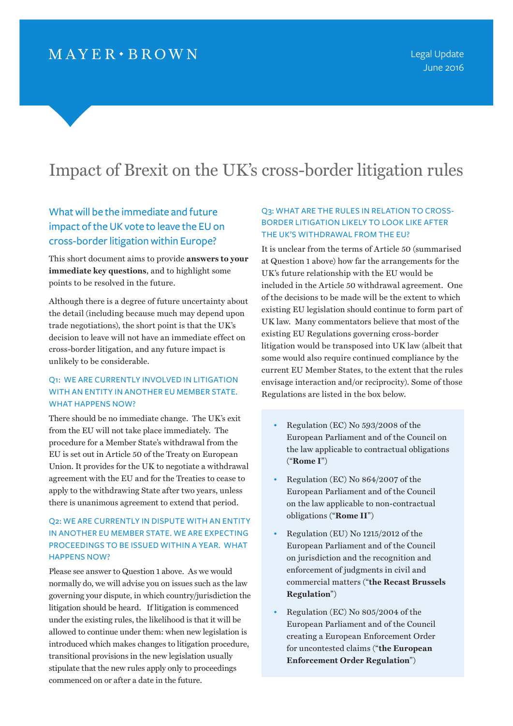# Impact of Brexit on the UK's cross-border litigation rules

# What will be the immediate and future impact of the UK vote to leave the EU on cross-border litigation within Europe?

This short document aims to provide **answers to your immediate key questions**, and to highlight some points to be resolved in the future.

Although there is a degree of future uncertainty about the detail (including because much may depend upon trade negotiations), the short point is that the UK's decision to leave will not have an immediate effect on cross-border litigation, and any future impact is unlikely to be considerable.

#### Q1: WE ARE CURRENTLY INVOLVED IN LITIGATION WITH AN ENTITY IN ANOTHER EU MEMBER STATE. WHAT HAPPENS NOW?

There should be no immediate change. The UK's exit from the EU will not take place immediately. The procedure for a Member State's withdrawal from the EU is set out in Article 50 of the Treaty on European Union. It provides for the UK to negotiate a withdrawal agreement with the EU and for the Treaties to cease to apply to the withdrawing State after two years, unless there is unanimous agreement to extend that period.

# Q2: WE ARE CURRENTLY IN DISPUTE WITH AN ENTITY IN ANOTHER EU MEMBER STATE. WE ARE EXPECTING PROCEEDINGS TO BE ISSUED WITHIN A YEAR. WHAT HAPPENS NOW?

Please see answer to Question 1 above. As we would normally do, we will advise you on issues such as the law governing your dispute, in which country/jurisdiction the litigation should be heard. If litigation is commenced under the existing rules, the likelihood is that it will be allowed to continue under them: when new legislation is introduced which makes changes to litigation procedure, transitional provisions in the new legislation usually stipulate that the new rules apply only to proceedings commenced on or after a date in the future.

# Q3: WHAT ARE THE RULES IN RELATION TO CROSS-BORDER LITIGATION LIKELY TO LOOK LIKE AFTER THE UK'S WITHDRAWAL FROM THE EU?

It is unclear from the terms of Article 50 (summarised at Question 1 above) how far the arrangements for the UK's future relationship with the EU would be included in the Article 50 withdrawal agreement. One of the decisions to be made will be the extent to which existing EU legislation should continue to form part of UK law. Many commentators believe that most of the existing EU Regulations governing cross-border litigation would be transposed into UK law (albeit that some would also require continued compliance by the current EU Member States, to the extent that the rules envisage interaction and/or reciprocity). Some of those Regulations are listed in the box below.

- Regulation (EC) No 593/2008 of the European Parliament and of the Council on the law applicable to contractual obligations ("**Rome I**")
- Regulation (EC) No 864/2007 of the European Parliament and of the Council on the law applicable to non-contractual obligations ("**Rome II**")
- Regulation (EU) No 1215/2012 of the European Parliament and of the Council on jurisdiction and the recognition and enforcement of judgments in civil and commercial matters ("**the Recast Brussels Regulation**")
- Regulation (EC) No 805/2004 of the European Parliament and of the Council creating a European Enforcement Order for uncontested claims ("**the European Enforcement Order Regulation**")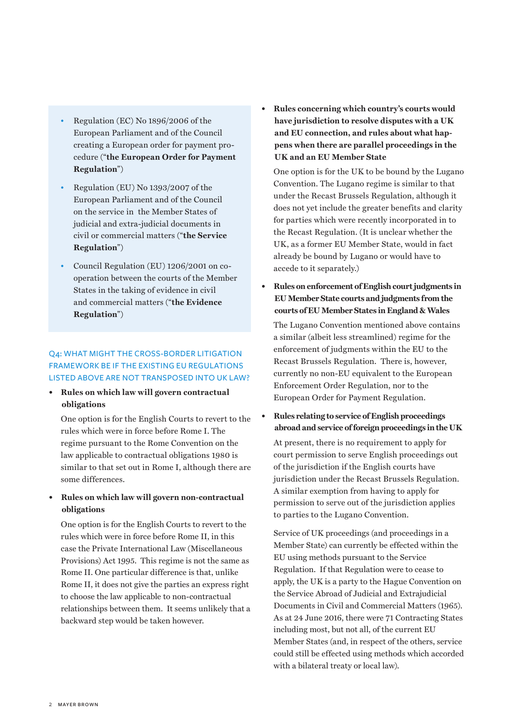- Regulation (EC) No 1896/2006 of the European Parliament and of the Council creating a European order for payment procedure ("**the European Order for Payment Regulation**")
- Regulation (EU) No 1393/2007 of the European Parliament and of the Council on the service in the Member States of judicial and extra-judicial documents in civil or commercial matters ("**the Service Regulation**")
- Council Regulation (EU) 1206/2001 on cooperation between the courts of the Member States in the taking of evidence in civil and commercial matters ("**the Evidence Regulation**")

## Q4: WHAT MIGHT THE CROSS-BORDER LITIGATION FRAMEWORK BE IF THE EXISTING EU REGULATIONS LISTED ABOVE ARE NOT TRANSPOSED INTO UK LAW?

**• Rules on which law will govern contractual obligations**

One option is for the English Courts to revert to the rules which were in force before Rome I. The regime pursuant to the Rome Convention on the law applicable to contractual obligations 1980 is similar to that set out in Rome I, although there are some differences.

**• Rules on which law will govern non-contractual obligations**

One option is for the English Courts to revert to the rules which were in force before Rome II, in this case the Private International Law (Miscellaneous Provisions) Act 1995. This regime is not the same as Rome II. One particular difference is that, unlike Rome II, it does not give the parties an express right to choose the law applicable to non-contractual relationships between them. It seems unlikely that a backward step would be taken however.

**• Rules concerning which country's courts would have jurisdiction to resolve disputes with a UK and EU connection, and rules about what happens when there are parallel proceedings in the UK and an EU Member State**

One option is for the UK to be bound by the Lugano Convention. The Lugano regime is similar to that under the Recast Brussels Regulation, although it does not yet include the greater benefits and clarity for parties which were recently incorporated in to the Recast Regulation. (It is unclear whether the UK, as a former EU Member State, would in fact already be bound by Lugano or would have to accede to it separately.)

**• Rules on enforcement of English court judgments in EU Member State courts and judgments from the courts of EU Member States in England & Wales**

The Lugano Convention mentioned above contains a similar (albeit less streamlined) regime for the enforcement of judgments within the EU to the Recast Brussels Regulation. There is, however, currently no non-EU equivalent to the European Enforcement Order Regulation, nor to the European Order for Payment Regulation.

**• Rules relating to service of English proceedings abroad and service of foreign proceedings in the UK**

At present, there is no requirement to apply for court permission to serve English proceedings out of the jurisdiction if the English courts have jurisdiction under the Recast Brussels Regulation. A similar exemption from having to apply for permission to serve out of the jurisdiction applies to parties to the Lugano Convention.

Service of UK proceedings (and proceedings in a Member State) can currently be effected within the EU using methods pursuant to the Service Regulation. If that Regulation were to cease to apply, the UK is a party to the Hague Convention on the Service Abroad of Judicial and Extrajudicial Documents in Civil and Commercial Matters (1965). As at 24 June 2016, there were 71 Contracting States including most, but not all, of the current EU Member States (and, in respect of the others, service could still be effected using methods which accorded with a bilateral treaty or local law).